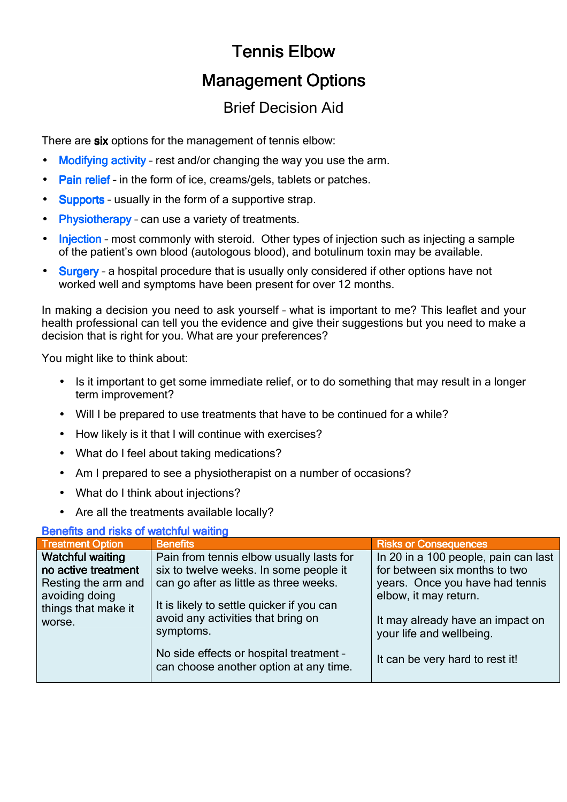# Tennis Elbow

## **Management Options**

## Brief Decision Aid

There are six options for the management of tennis elbow:

- Modifying activity rest and/or changing the way you use the arm.
- Pain relief in the form of ice, creams/gels, tablets or patches.
- Supports usually in the form of a supportive strap.
- Physiotherapy can use a variety of treatments.
- Injection most commonly with steroid. Other types of injection such as injecting a sample of the patient's own blood (autologous blood), and botulinum toxin may be available.
- Surgery a hospital procedure that is usually only considered if other options have not worked well and symptoms have been present for over 12 months.

In making a decision you need to ask yourself – what is important to me? This leaflet and your health professional can tell you the evidence and give their suggestions but you need to make a decision that is right for you. What are your preferences?

You might like to think about:

- Is it important to get some immediate relief, or to do something that may result in a longer term improvement?
- Will I be prepared to use treatments that have to be continued for a while?
- How likely is it that I will continue with exercises?
- What do I feel about taking medications?
- Am I prepared to see a physiotherapist on a number of occasions?
- What do I think about injections?
- Are all the treatments available locally?

### Benefits and risks of watchful waiting

| <b>Treatment Option</b>                                                                                                  | <b>Benefits</b>                                                                                                                                                                                                              | <b>Risks or Consequences</b>                                                                                                                                                                      |
|--------------------------------------------------------------------------------------------------------------------------|------------------------------------------------------------------------------------------------------------------------------------------------------------------------------------------------------------------------------|---------------------------------------------------------------------------------------------------------------------------------------------------------------------------------------------------|
| <b>Watchful waiting</b><br>no active treatment<br>Resting the arm and<br>avoiding doing<br>things that make it<br>worse. | Pain from tennis elbow usually lasts for<br>six to twelve weeks. In some people it<br>can go after as little as three weeks.<br>It is likely to settle quicker if you can<br>avoid any activities that bring on<br>symptoms. | In 20 in a 100 people, pain can last<br>for between six months to two<br>years. Once you have had tennis<br>elbow, it may return.<br>It may already have an impact on<br>your life and wellbeing. |
|                                                                                                                          | No side effects or hospital treatment -<br>can choose another option at any time.                                                                                                                                            | It can be very hard to rest it!                                                                                                                                                                   |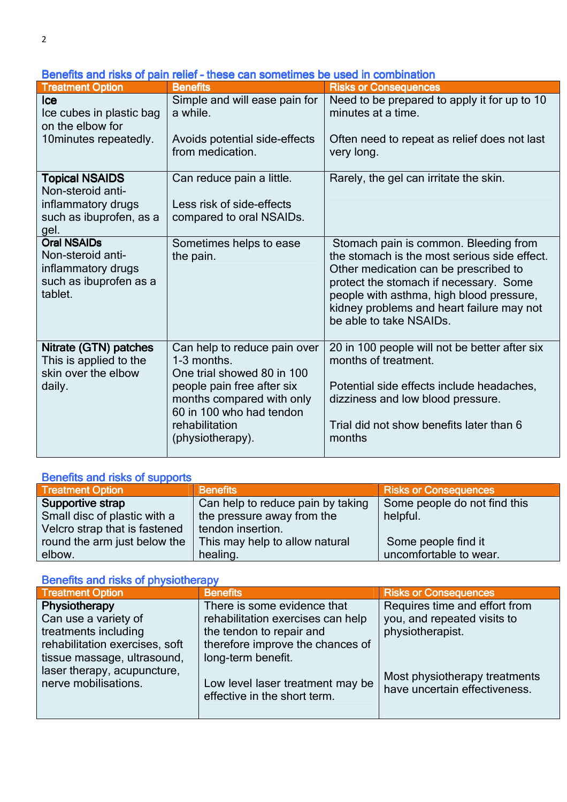Benefits and risks of pain relief - these can sometimes be used in combination

| <b>Treatment Option</b>                                                                             | <b>Benefits</b>                                                                                                                                                                                        | <b>Risks or Consequences</b>                                                                                                                                                                                                                                                                 |
|-----------------------------------------------------------------------------------------------------|--------------------------------------------------------------------------------------------------------------------------------------------------------------------------------------------------------|----------------------------------------------------------------------------------------------------------------------------------------------------------------------------------------------------------------------------------------------------------------------------------------------|
| <b>Ice</b><br>Ice cubes in plastic bag<br>on the elbow for<br>10 minutes repeatedly.                | Simple and will ease pain for<br>a while.<br>Avoids potential side-effects<br>from medication.                                                                                                         | Need to be prepared to apply it for up to 10<br>minutes at a time.<br>Often need to repeat as relief does not last                                                                                                                                                                           |
|                                                                                                     |                                                                                                                                                                                                        | very long.                                                                                                                                                                                                                                                                                   |
| <b>Topical NSAIDS</b><br>Non-steroid anti-<br>inflammatory drugs<br>such as ibuprofen, as a<br>gel. | Can reduce pain a little.<br>Less risk of side-effects<br>compared to oral NSAIDs.                                                                                                                     | Rarely, the gel can irritate the skin.                                                                                                                                                                                                                                                       |
| <b>Oral NSAIDs</b><br>Non-steroid anti-<br>inflammatory drugs<br>such as ibuprofen as a<br>tablet.  | Sometimes helps to ease<br>the pain.                                                                                                                                                                   | Stomach pain is common. Bleeding from<br>the stomach is the most serious side effect.<br>Other medication can be prescribed to<br>protect the stomach if necessary. Some<br>people with asthma, high blood pressure,<br>kidney problems and heart failure may not<br>be able to take NSAIDs. |
| Nitrate (GTN) patches<br>This is applied to the<br>skin over the elbow<br>daily.                    | Can help to reduce pain over<br>1-3 months.<br>One trial showed 80 in 100<br>people pain free after six<br>months compared with only<br>60 in 100 who had tendon<br>rehabilitation<br>(physiotherapy). | 20 in 100 people will not be better after six<br>months of treatment.<br>Potential side effects include headaches,<br>dizziness and low blood pressure.<br>Trial did not show benefits later than 6<br>months                                                                                |

### Benefits and risks of supports

| <b>Treatment Option</b>       | <b>Benefits</b>                   | <b>Risks or Consequences</b> |
|-------------------------------|-----------------------------------|------------------------------|
| Supportive strap              | Can help to reduce pain by taking | Some people do not find this |
| Small disc of plastic with a  | the pressure away from the        | helpful.                     |
| Velcro strap that is fastened | tendon insertion.                 |                              |
| round the arm just below the  | This may help to allow natural    | Some people find it          |
| elbow.                        | healing.                          | uncomfortable to wear.       |

### Benefits and risks of physiotherapy

| <b>Treatment Option</b>                             | <b>Benefits</b>                                                  | <b>Risks or Consequences</b>                                   |
|-----------------------------------------------------|------------------------------------------------------------------|----------------------------------------------------------------|
| Physiotherapy                                       | There is some evidence that                                      | Requires time and effort from                                  |
| Can use a variety of                                | rehabilitation exercises can help                                | you, and repeated visits to                                    |
| treatments including                                | the tendon to repair and                                         | physiotherapist.                                               |
| rehabilitation exercises, soft                      | therefore improve the chances of                                 |                                                                |
| tissue massage, ultrasound,                         | long-term benefit.                                               |                                                                |
| laser therapy, acupuncture,<br>nerve mobilisations. | Low level laser treatment may be<br>effective in the short term. | Most physiotherapy treatments<br>have uncertain effectiveness. |